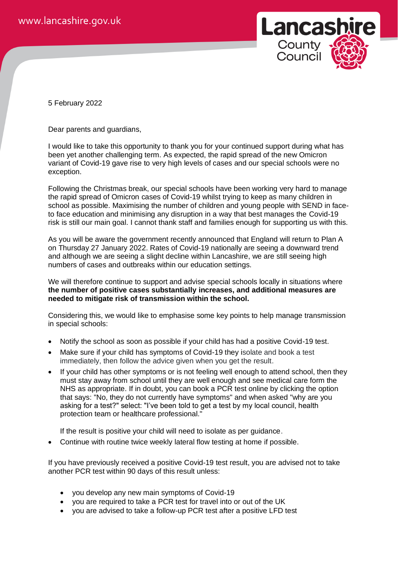

5 February 2022

Dear parents and guardians,

I would like to take this opportunity to thank you for your continued support during what has been yet another challenging term. As expected, the rapid spread of the new Omicron variant of Covid-19 gave rise to very high levels of cases and our special schools were no exception.

Following the Christmas break, our special schools have been working very hard to manage the rapid spread of Omicron cases of Covid-19 whilst trying to keep as many children in school as possible. Maximising the number of children and young people with SEND in faceto face education and minimising any disruption in a way that best manages the Covid-19 risk is still our main goal. I cannot thank staff and families enough for supporting us with this.

As you will be aware the government recently announced that England will return to Plan A on Thursday 27 January 2022. Rates of Covid-19 nationally are seeing a downward trend and although we are seeing a slight decline within Lancashire, we are still seeing high numbers of cases and outbreaks within our education settings.

We will therefore continue to support and advise special schools locally in situations where **the number of positive cases substantially increases, and additional measures are needed to mitigate risk of transmission within the school.**

Considering this, we would like to emphasise some key points to help manage transmission in special schools:

- Notify the school as soon as possible if your child has had a positive Covid-19 test.
- Make sure if your child has symptoms of Covid-19 they isolate and book a test immediately, then follow the advice given when you get the result.
- If your child has other symptoms or is not feeling well enough to attend school, then they must stay away from school until they are well enough and see medical care form the NHS as appropriate. If in doubt, you can book a PCR test online by clicking the option that says: "No, they do not currently have symptoms" and when asked "why are you asking for a test?" select: "I've been told to get a test by my local council, health protection team or healthcare professional."

If the result is positive your child will need to isolate as per guidance.

• Continue with routine twice weekly lateral flow testing at home if possible.

If you have previously received a positive Covid-19 test result, you are advised not to take another PCR test within 90 days of this result unless:

- you develop any new main symptoms of Covid-19
- you are required to take a PCR test for travel into or out of the UK
- you are advised to take a follow-up PCR test after a positive LFD test